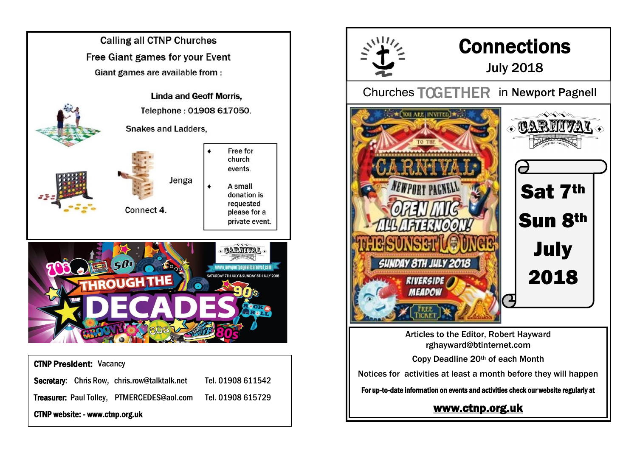

Secretary: Chris Row, chris.row@talktalk.net Tel. 01908 611542

Treasurer: Paul Tolley, PTMERCEDES@aol.com Tel. 01908 615729

CTNP website: - www.ctnp.org.uk



Articles to the Editor, Robert Hayward rghayward@btinternet.com

Copy Deadline 20th of each Month

Notices for activities at least a month before they will happen

For up-to-date information on events and activities check our website regularly at

## [www.ctnp.org.uk](http://www.ctnp.org.uk)